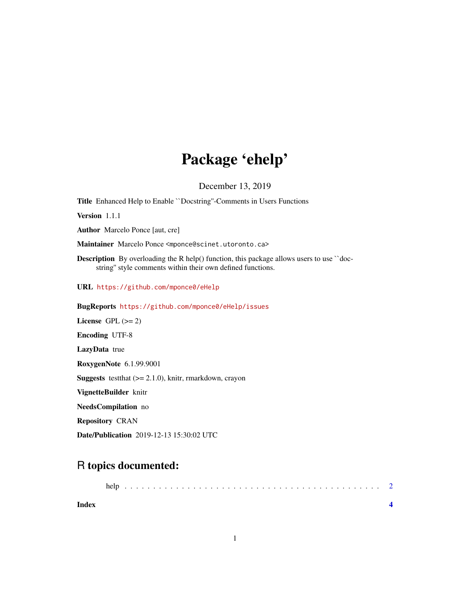# Package 'ehelp'

December 13, 2019

Title Enhanced Help to Enable ``Docstring''-Comments in Users Functions Version 1.1.1 Author Marcelo Ponce [aut, cre] Maintainer Marcelo Ponce <mponce@scinet.utoronto.ca> **Description** By overloading the R help() function, this package allows users to use  $\degree$  docstring'' style comments within their own defined functions. URL <https://github.com/mponce0/eHelp> BugReports <https://github.com/mponce0/eHelp/issues> License GPL  $(>= 2)$ Encoding UTF-8 LazyData true RoxygenNote 6.1.99.9001 **Suggests** test that  $(>= 2.1.0)$ , knitr, rmarkdown, crayon VignetteBuilder knitr

NeedsCompilation no

Repository CRAN

Date/Publication 2019-12-13 15:30:02 UTC

## R topics documented:

|       | help |  |  |  |  |  |  |  |  |  |  |  |  |  |  |  |  |  |
|-------|------|--|--|--|--|--|--|--|--|--|--|--|--|--|--|--|--|--|
| Index |      |  |  |  |  |  |  |  |  |  |  |  |  |  |  |  |  |  |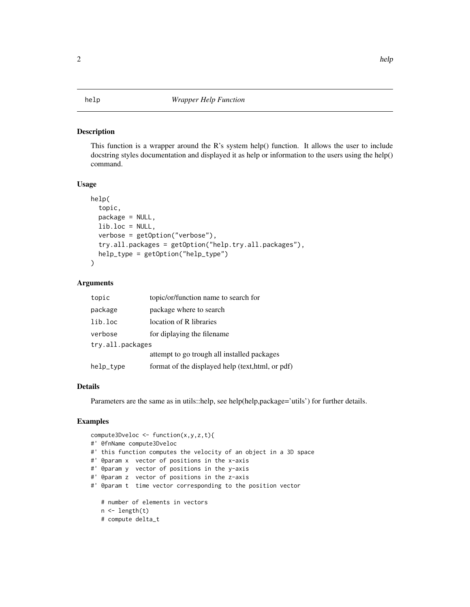#### <span id="page-1-0"></span>Description

This function is a wrapper around the R's system help() function. It allows the user to include docstring styles documentation and displayed it as help or information to the users using the help() command.

#### Usage

```
help(
  topic,
  package = NULL,
  lib.loc = NULL,
  verbose = getOption("verbose"),
  try.all.packages = getOption("help.try.all.packages"),
  help_type = getOption("help_type")
```
#### Arguments

)

| topic            | topic/or/function name to search for              |
|------------------|---------------------------------------------------|
| package          | package where to search                           |
| lib.loc          | location of R libraries                           |
| verbose          | for diplaying the filename.                       |
| try.all.packages |                                                   |
|                  | attempt to go trough all installed packages       |
| help_type        | format of the displayed help (text, html, or pdf) |

#### Details

Parameters are the same as in utils::help, see help(help,package='utils') for further details.

### Examples

```
compute3Dveloc <- function(x,y,z,t){
#' @fnName compute3Dveloc
#' this function computes the velocity of an object in a 3D space
#' @param x vector of positions in the x-axis
#' @param y vector of positions in the y-axis
#' @param z vector of positions in the z-axis
#' @param t time vector corresponding to the position vector
   # number of elements in vectors
   n \leftarrow length(t)# compute delta_t
```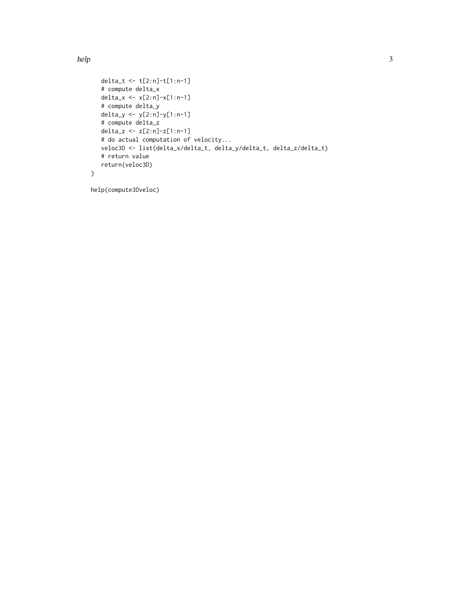```
delta_t <- t[2:n]-t[1:n-1]
  # compute delta_x
  delta_x <- x[2:n]-x[1:n-1]
  # compute delta_y
  delta_y <- y[2:n]-y[1:n-1]
  # compute delta_z
  delta_z <- z[2:n]-z[1:n-1]
  # do actual computation of velocity...
  veloc3D <- list(delta_x/delta_t, delta_y/delta_t, delta_z/delta_t)
  # return value
  return(veloc3D)
}
```
help(compute3Dveloc)